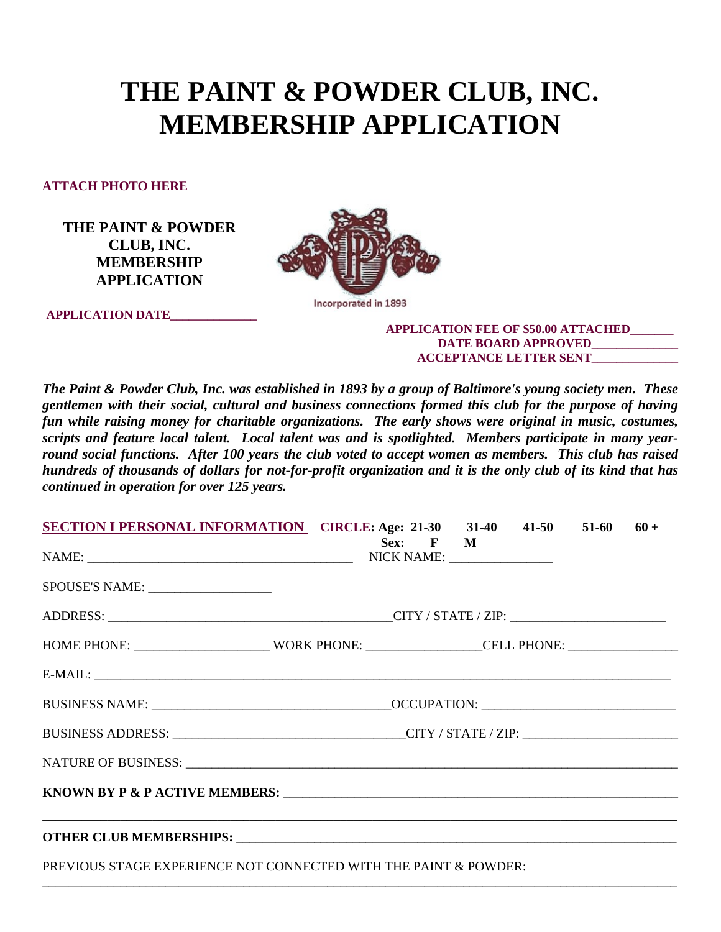# **THE PAINT & POWDER CLUB, INC. MEMBERSHIP APPLICATION**

**ATTACH PHOTO HERE**

**THE PAINT & POWDER CLUB, INC. MEMBERSHIP APPLICATION**

**APPLICATION DATE\_\_\_\_\_\_\_\_\_\_\_\_\_\_**



Incorporated in 1893

### **APPLICATION FEE OF \$50.00 ATTACHED\_\_\_\_\_\_\_ DATE BOARD APPROVED\_\_\_\_\_\_\_\_\_\_\_\_\_\_ ACCEPTANCE LETTER SENT\_\_\_\_\_\_\_\_\_\_\_\_\_\_**

*The Paint & Powder Club, Inc. was established in 1893 by a group of Baltimore's young society men. These gentlemen with their social, cultural and business connections formed this club for the purpose of having fun while raising money for charitable organizations. The early shows were original in music, costumes, scripts and feature local talent. Local talent was and is spotlighted. Members participate in many yearround social functions. After 100 years the club voted to accept women as members. This club has raised hundreds of thousands of dollars for not-for-profit organization and it is the only club of its kind that has continued in operation for over 125 years.*

| <b>SECTION I PERSONAL INFORMATION</b> CIRCLE: Age: 21-30 31-40 41-50 51-60 60 +                      |  |          |  |  |  |  |
|------------------------------------------------------------------------------------------------------|--|----------|--|--|--|--|
|                                                                                                      |  | Sex: F M |  |  |  |  |
| SPOUSE'S NAME:                                                                                       |  |          |  |  |  |  |
|                                                                                                      |  |          |  |  |  |  |
| HOME PHONE: ____________________________WORK PHONE: ___________________CELL PHONE: _________________ |  |          |  |  |  |  |
|                                                                                                      |  |          |  |  |  |  |
|                                                                                                      |  |          |  |  |  |  |
|                                                                                                      |  |          |  |  |  |  |
|                                                                                                      |  |          |  |  |  |  |
|                                                                                                      |  |          |  |  |  |  |
|                                                                                                      |  |          |  |  |  |  |
|                                                                                                      |  |          |  |  |  |  |
| PREVIOUS STAGE EXPERIENCE NOT CONNECTED WITH THE PAINT & POWDER:                                     |  |          |  |  |  |  |

\_\_\_\_\_\_\_\_\_\_\_\_\_\_\_\_\_\_\_\_\_\_\_\_\_\_\_\_\_\_\_\_\_\_\_\_\_\_\_\_\_\_\_\_\_\_\_\_\_\_\_\_\_\_\_\_\_\_\_\_\_\_\_\_\_\_\_\_\_\_\_\_\_\_\_\_\_\_\_\_\_\_\_\_\_\_\_\_\_\_\_\_\_\_\_\_\_\_